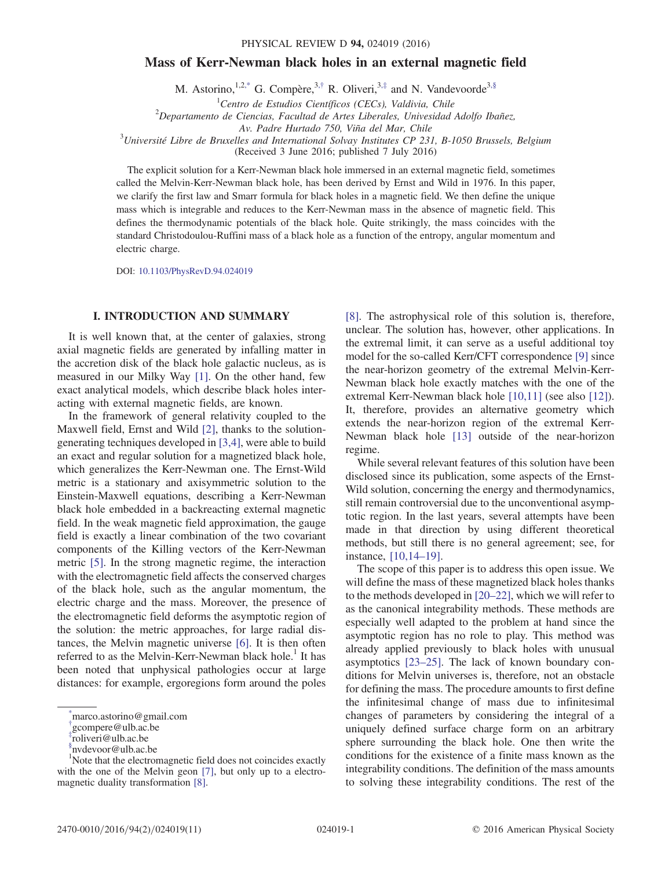# Mass of Kerr-Newman black holes in an external magnetic field

M. Astorino,  $1,2,^*$  G. Compère,  $3,^{\dagger}$  R. Oliveri,  $3,^{\dagger}$  and N. Vandevoorde<sup>[3,§](#page-0-3)</sup>

 ${}^{1}$ Centro de Estudios Científicos (CECs), Valdivia, Chile

<sup>1</sup> Centro de Estudios Científicos (CECs), Valdivia, Chile<br><sup>2</sup> Departamento de Ciencias, Facultad de Artes Liberales, Univesidad Adolfo Ibañez,

<span id="page-0-4"></span>Av. Padre Hurtado 750, Viña del Mar, Chile<br><sup>3</sup>Université Libre de Bruxelles and International Solvay Institutes CP 231, B-1050 Brussels, Belgium

(Received 3 June 2016; published 7 July 2016)

The explicit solution for a Kerr-Newman black hole immersed in an external magnetic field, sometimes called the Melvin-Kerr-Newman black hole, has been derived by Ernst and Wild in 1976. In this paper, we clarify the first law and Smarr formula for black holes in a magnetic field. We then define the unique mass which is integrable and reduces to the Kerr-Newman mass in the absence of magnetic field. This defines the thermodynamic potentials of the black hole. Quite strikingly, the mass coincides with the standard Christodoulou-Ruffini mass of a black hole as a function of the entropy, angular momentum and electric charge.

DOI: [10.1103/PhysRevD.94.024019](http://dx.doi.org/10.1103/PhysRevD.94.024019)

# I. INTRODUCTION AND SUMMARY

It is well known that, at the center of galaxies, strong axial magnetic fields are generated by infalling matter in the accretion disk of the black hole galactic nucleus, as is measured in our Milky Way [\[1\].](#page-9-0) On the other hand, few exact analytical models, which describe black holes interacting with external magnetic fields, are known.

In the framework of general relativity coupled to the Maxwell field, Ernst and Wild [\[2\]](#page-9-1), thanks to the solutiongenerating techniques developed in [\[3,4\]](#page-9-2), were able to build an exact and regular solution for a magnetized black hole, which generalizes the Kerr-Newman one. The Ernst-Wild metric is a stationary and axisymmetric solution to the Einstein-Maxwell equations, describing a Kerr-Newman black hole embedded in a backreacting external magnetic field. In the weak magnetic field approximation, the gauge field is exactly a linear combination of the two covariant components of the Killing vectors of the Kerr-Newman metric [\[5\]](#page-9-3). In the strong magnetic regime, the interaction with the electromagnetic field affects the conserved charges of the black hole, such as the angular momentum, the electric charge and the mass. Moreover, the presence of the electromagnetic field deforms the asymptotic region of the solution: the metric approaches, for large radial distances, the Melvin magnetic universe [\[6\].](#page-9-4) It is then often referred to as the Melvin-Kerr-Newman black hole.<sup>1</sup> It has been noted that unphysical pathologies occur at large distances: for example, ergoregions form around the poles

[\[8\]](#page-9-5). The astrophysical role of this solution is, therefore, unclear. The solution has, however, other applications. In the extremal limit, it can serve as a useful additional toy model for the so-called Kerr/CFT correspondence [\[9\]](#page-9-6) since the near-horizon geometry of the extremal Melvin-Kerr-Newman black hole exactly matches with the one of the extremal Kerr-Newman black hole [\[10,11\]](#page-9-7) (see also [\[12\]](#page-9-8)). It, therefore, provides an alternative geometry which extends the near-horizon region of the extremal Kerr-Newman black hole [\[13\]](#page-9-9) outside of the near-horizon regime.

While several relevant features of this solution have been disclosed since its publication, some aspects of the Ernst-Wild solution, concerning the energy and thermodynamics, still remain controversial due to the unconventional asymptotic region. In the last years, several attempts have been made in that direction by using different theoretical methods, but still there is no general agreement; see, for instance, [\[10,14](#page-9-7)–19].

The scope of this paper is to address this open issue. We will define the mass of these magnetized black holes thanks to the methods developed in [20–[22\],](#page-9-10) which we will refer to as the canonical integrability methods. These methods are especially well adapted to the problem at hand since the asymptotic region has no role to play. This method was already applied previously to black holes with unusual asymptotics [\[23](#page-9-11)–25]. The lack of known boundary conditions for Melvin universes is, therefore, not an obstacle for defining the mass. The procedure amounts to first define the infinitesimal change of mass due to infinitesimal changes of parameters by considering the integral of a uniquely defined surface charge form on an arbitrary sphere surrounding the black hole. One then write the conditions for the existence of a finite mass known as the integrability conditions. The definition of the mass amounts to solving these integrability conditions. The rest of the

<span id="page-0-0"></span>[<sup>\\*</sup>](#page-0-4) marco.astorino@gmail.com

<span id="page-0-1"></span>[<sup>†</sup>](#page-0-4) gcompere@ulb.ac.be

<span id="page-0-2"></span>[<sup>‡</sup>](#page-0-4) roliveri@ulb.ac.be

<span id="page-0-3"></span>[<sup>§</sup>](#page-0-4) nvdevoor@ulb.ac.be

<sup>&</sup>lt;sup>1</sup>Note that the electromagnetic field does not coincides exactly with the one of the Melvin geon [\[7\],](#page-9-12) but only up to a electromagnetic duality transformation [\[8\]](#page-9-5).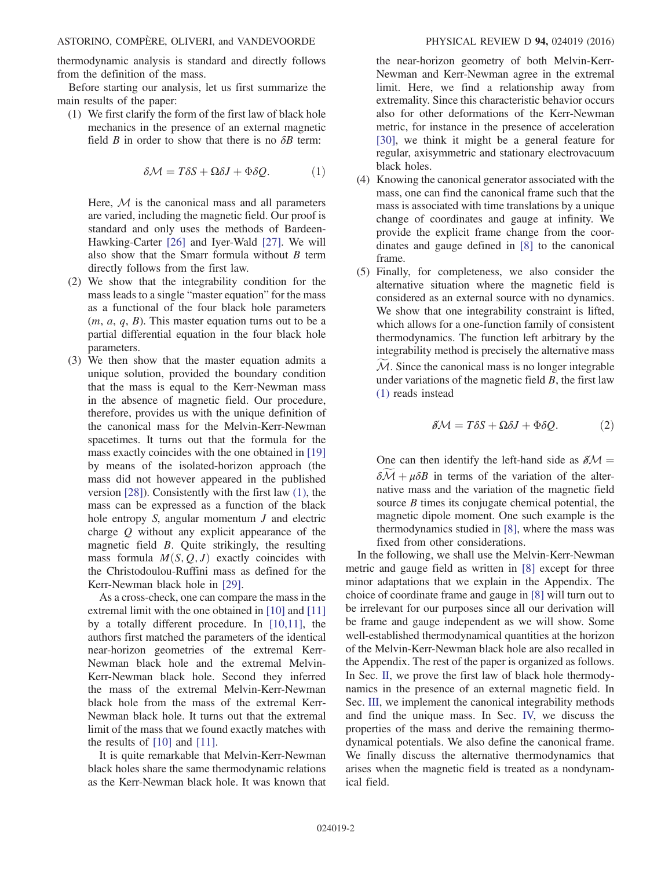thermodynamic analysis is standard and directly follows from the definition of the mass.

Before starting our analysis, let us first summarize the main results of the paper:

<span id="page-1-0"></span>(1) We first clarify the form of the first law of black hole mechanics in the presence of an external magnetic field  $B$  in order to show that there is no  $\delta B$  term:

$$
\delta \mathcal{M} = T \delta S + \Omega \delta J + \Phi \delta Q. \tag{1}
$$

Here,  $M$  is the canonical mass and all parameters are varied, including the magnetic field. Our proof is standard and only uses the methods of Bardeen-Hawking-Carter [\[26\]](#page-9-13) and Iyer-Wald [\[27\]](#page-9-14). We will also show that the Smarr formula without  $B$  term directly follows from the first law.

- (2) We show that the integrability condition for the mass leads to a single "master equation" for the mass as a functional of the four black hole parameters  $(m, a, q, B)$ . This master equation turns out to be a partial differential equation in the four black hole parameters.
- (3) We then show that the master equation admits a unique solution, provided the boundary condition that the mass is equal to the Kerr-Newman mass in the absence of magnetic field. Our procedure, therefore, provides us with the unique definition of the canonical mass for the Melvin-Kerr-Newman spacetimes. It turns out that the formula for the mass exactly coincides with the one obtained in [\[19\]](#page-9-15) by means of the isolated-horizon approach (the mass did not however appeared in the published version [\[28\]](#page-9-16)). Consistently with the first law [\(1\)](#page-1-0), the mass can be expressed as a function of the black hole entropy  $S$ , angular momentum  $J$  and electric charge Q without any explicit appearance of the magnetic field B. Quite strikingly, the resulting mass formula  $M(S, Q, J)$  exactly coincides with the Christodoulou-Ruffini mass as defined for the Kerr-Newman black hole in [\[29\].](#page-10-0)

As a cross-check, one can compare the mass in the extremal limit with the one obtained in [\[10\]](#page-9-7) and [\[11\]](#page-9-17) by a totally different procedure. In [\[10,11\],](#page-9-7) the authors first matched the parameters of the identical near-horizon geometries of the extremal Kerr-Newman black hole and the extremal Melvin-Kerr-Newman black hole. Second they inferred the mass of the extremal Melvin-Kerr-Newman black hole from the mass of the extremal Kerr-Newman black hole. It turns out that the extremal limit of the mass that we found exactly matches with the results of [\[10\]](#page-9-7) and [\[11\]](#page-9-17).

It is quite remarkable that Melvin-Kerr-Newman black holes share the same thermodynamic relations as the Kerr-Newman black hole. It was known that

the near-horizon geometry of both Melvin-Kerr-Newman and Kerr-Newman agree in the extremal limit. Here, we find a relationship away from extremality. Since this characteristic behavior occurs also for other deformations of the Kerr-Newman metric, for instance in the presence of acceleration [\[30\]](#page-10-1), we think it might be a general feature for regular, axisymmetric and stationary electrovacuum black holes.

- (4) Knowing the canonical generator associated with the mass, one can find the canonical frame such that the mass is associated with time translations by a unique change of coordinates and gauge at infinity. We provide the explicit frame change from the coordinates and gauge defined in [\[8\]](#page-9-5) to the canonical frame.
- (5) Finally, for completeness, we also consider the alternative situation where the magnetic field is considered as an external source with no dynamics. We show that one integrability constraint is lifted, which allows for a one-function family of consistent thermodynamics. The function left arbitrary by the integrability method is precisely the alternative mass  $M<sub>i</sub>$ . Since the canonical mass is no longer integrable under variations of the magnetic field  $B$ , the first law [\(1\)](#page-1-0) reads instead

$$
\delta \mathcal{M} = T \delta S + \Omega \delta J + \Phi \delta Q. \tag{2}
$$

One can then identify the left-hand side as  $\delta M =$  $\delta \mathcal{M} + \mu \delta B$  in terms of the variation of the alternative mass and the variation of the magnetic field source  $B$  times its conjugate chemical potential, the magnetic dipole moment. One such example is the thermodynamics studied in [\[8\]](#page-9-5), where the mass was fixed from other considerations.

In the following, we shall use the Melvin-Kerr-Newman metric and gauge field as written in [\[8\]](#page-9-5) except for three minor adaptations that we explain in the Appendix. The choice of coordinate frame and gauge in [\[8\]](#page-9-5) will turn out to be irrelevant for our purposes since all our derivation will be frame and gauge independent as we will show. Some well-established thermodynamical quantities at the horizon of the Melvin-Kerr-Newman black hole are also recalled in the Appendix. The rest of the paper is organized as follows. In Sec. [II,](#page-2-0) we prove the first law of black hole thermodynamics in the presence of an external magnetic field. In Sec. [III,](#page-3-0) we implement the canonical integrability methods and find the unique mass. In Sec. [IV,](#page-5-0) we discuss the properties of the mass and derive the remaining thermodynamical potentials. We also define the canonical frame. We finally discuss the alternative thermodynamics that arises when the magnetic field is treated as a nondynamical field.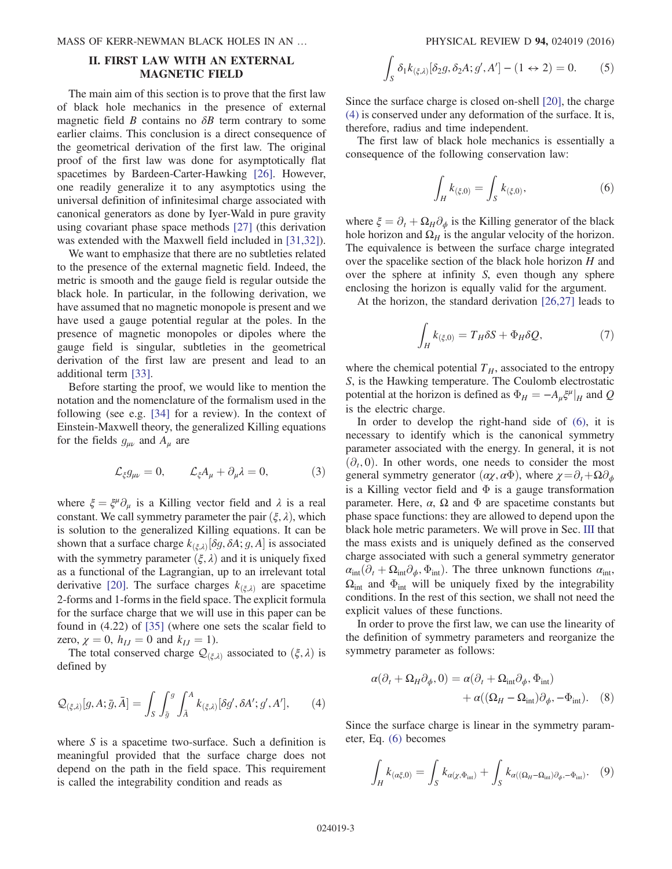# <span id="page-2-0"></span>II. FIRST LAW WITH AN EXTERNAL MAGNETIC FIELD

The main aim of this section is to prove that the first law of black hole mechanics in the presence of external magnetic field  $\hat{B}$  contains no  $\delta \hat{B}$  term contrary to some earlier claims. This conclusion is a direct consequence of the geometrical derivation of the first law. The original proof of the first law was done for asymptotically flat spacetimes by Bardeen-Carter-Hawking [\[26\]](#page-9-13). However, one readily generalize it to any asymptotics using the universal definition of infinitesimal charge associated with canonical generators as done by Iyer-Wald in pure gravity using covariant phase space methods [\[27\]](#page-9-14) (this derivation was extended with the Maxwell field included in [\[31,32\]](#page-10-2)).

We want to emphasize that there are no subtleties related to the presence of the external magnetic field. Indeed, the metric is smooth and the gauge field is regular outside the black hole. In particular, in the following derivation, we have assumed that no magnetic monopole is present and we have used a gauge potential regular at the poles. In the presence of magnetic monopoles or dipoles where the gauge field is singular, subtleties in the geometrical derivation of the first law are present and lead to an additional term [\[33\].](#page-10-3)

Before starting the proof, we would like to mention the notation and the nomenclature of the formalism used in the following (see e.g. [\[34\]](#page-10-4) for a review). In the context of Einstein-Maxwell theory, the generalized Killing equations for the fields  $g_{\mu\nu}$  and  $A_{\mu}$  are

$$
\mathcal{L}_{\xi}g_{\mu\nu}=0, \qquad \mathcal{L}_{\xi}A_{\mu}+\partial_{\mu}\lambda=0, \tag{3}
$$

where  $\xi = \xi^{\mu} \partial_{\mu}$  is a Killing vector field and  $\lambda$  is a real constant. We call symmetry parameter the pair  $(\xi, \lambda)$ , which is solution to the generalized Killing equations. It can be shown that a surface charge  $k_{(\xi,\lambda)}[\delta g, \delta A; g, A]$  is associated with the symmetry parameter  $(\xi, \lambda)$  and it is uniquely fixed as a functional of the Lagrangian, up to an irrelevant total derivative [\[20\].](#page-9-10) The surface charges  $k_{(\xi,\lambda)}$  are spacetime 2-forms and 1-forms in the field space. The explicit formula for the surface charge that we will use in this paper can be found in (4.22) of [\[35\]](#page-10-5) (where one sets the scalar field to zero,  $\chi = 0$ ,  $h_{IJ} = 0$  and  $k_{IJ} = 1$ ).

<span id="page-2-1"></span>The total conserved charge  $\mathcal{Q}_{(\xi,\lambda)}$  associated to  $(\xi,\lambda)$  is defined by

$$
\mathcal{Q}_{(\xi,\lambda)}[g,A;\bar{g},\bar{A}] = \int_{S} \int_{\bar{g}}^{g} \int_{\bar{A}}^{A} k_{(\xi,\lambda)}[\delta g', \delta A'; g', A'], \qquad (4)
$$

<span id="page-2-4"></span>where  $S$  is a spacetime two-surface. Such a definition is meaningful provided that the surface charge does not depend on the path in the field space. This requirement is called the integrability condition and reads as

$$
\int_{S} \delta_1 k_{(\xi,\lambda)} [\delta_2 g, \delta_2 A; g', A'] - (1 \leftrightarrow 2) = 0. \tag{5}
$$

Since the surface charge is closed on-shell [\[20\],](#page-9-10) the charge [\(4\)](#page-2-1) is conserved under any deformation of the surface. It is, therefore, radius and time independent.

<span id="page-2-2"></span>The first law of black hole mechanics is essentially a consequence of the following conservation law:

$$
\int_{H} k_{(\xi,0)} = \int_{S} k_{(\xi,0)},
$$
\n(6)

where  $\xi = \partial_t + \Omega_H \partial_{\phi}$  is the Killing generator of the black hole horizon and  $\Omega_H$  is the angular velocity of the horizon. The equivalence is between the surface charge integrated over the spacelike section of the black hole horizon H and over the sphere at infinity S, even though any sphere enclosing the horizon is equally valid for the argument.

At the horizon, the standard derivation [\[26,27\]](#page-9-13) leads to

$$
\int_{H} k_{(\xi,0)} = T_H \delta S + \Phi_H \delta Q, \tag{7}
$$

where the chemical potential  $T_H$ , associated to the entropy S, is the Hawking temperature. The Coulomb electrostatic potential at the horizon is defined as  $\Phi_H = -A_\mu \xi^\mu|_H$  and Q is the electric charge.

In order to develop the right-hand side of [\(6\),](#page-2-2) it is necessary to identify which is the canonical symmetry parameter associated with the energy. In general, it is not  $(\partial_t, 0)$ . In other words, one needs to consider the most general symmetry generator  $(\alpha \chi, \alpha \Phi)$ , where  $\chi = \partial_t + \Omega \partial_\phi$ is a Killing vector field and  $\Phi$  is a gauge transformation parameter. Here,  $\alpha$ ,  $\Omega$  and  $\Phi$  are spacetime constants but phase space functions: they are allowed to depend upon the black hole metric parameters. We will prove in Sec. [III](#page-3-0) that the mass exists and is uniquely defined as the conserved charge associated with such a general symmetry generator  $\alpha_{\rm int}(\partial_t + \Omega_{\rm int}\partial_\phi, \Phi_{\rm int})$ . The three unknown functions  $\alpha_{\rm int}$ ,  $\Omega_{\text{int}}$  and  $\Phi_{\text{int}}$  will be uniquely fixed by the integrability conditions. In the rest of this section, we shall not need the explicit values of these functions.

In order to prove the first law, we can use the linearity of the definition of symmetry parameters and reorganize the symmetry parameter as follows:

$$
\alpha(\partial_t + \Omega_H \partial_\phi, 0) = \alpha(\partial_t + \Omega_{int} \partial_\phi, \Phi_{int}) + \alpha((\Omega_H - \Omega_{int})\partial_\phi, -\Phi_{int}).
$$
 (8)

<span id="page-2-3"></span>Since the surface charge is linear in the symmetry parameter, Eq. [\(6\)](#page-2-2) becomes

$$
\int_{H} k_{(\alpha\xi,0)} = \int_{S} k_{\alpha(\chi,\Phi_{\text{int}})} + \int_{S} k_{\alpha((\Omega_H - \Omega_{\text{int}})\partial_{\phi}, -\Phi_{\text{int}})}.
$$
 (9)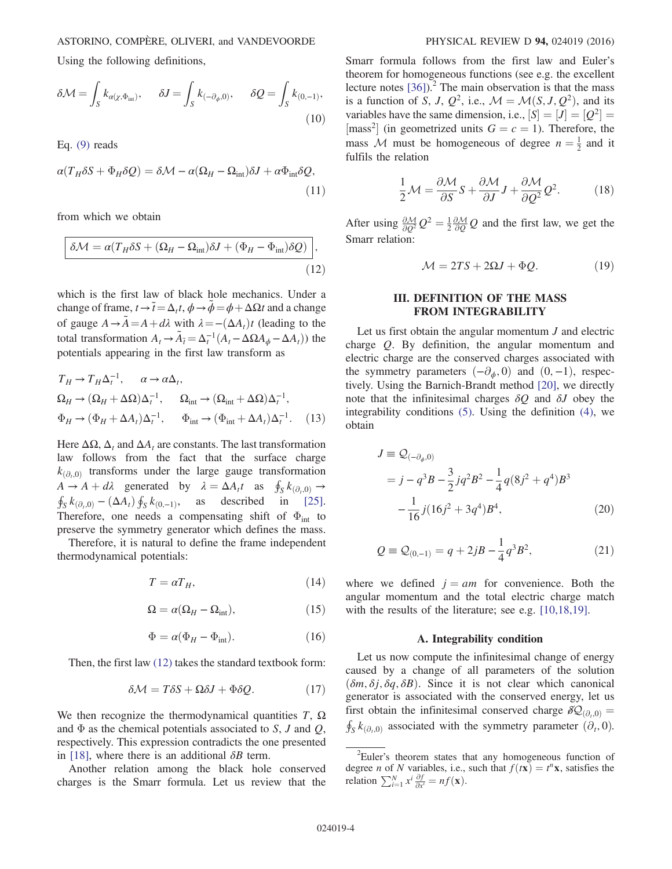Using the following definitions,

$$
\delta \mathcal{M} = \int_{S} k_{\alpha(\chi, \Phi_{\text{int}})}, \quad \delta J = \int_{S} k_{(-\partial_{\phi}, 0)}, \quad \delta \mathcal{Q} = \int_{S} k_{(0, -1)},
$$
\n(10)

Eq. [\(9\)](#page-2-3) reads

$$
\alpha(T_H \delta S + \Phi_H \delta Q) = \delta \mathcal{M} - \alpha(\Omega_H - \Omega_{int})\delta J + \alpha \Phi_{int} \delta Q,
$$
\n(11)

<span id="page-3-1"></span>from which we obtain

$$
\delta \mathcal{M} = \alpha (T_H \delta S + (\Omega_H - \Omega_{\rm int}) \delta J + (\Phi_H - \Phi_{\rm int}) \delta Q) \Big),\tag{12}
$$

which is the first law of black hole mechanics. Under a change of frame,  $t \rightarrow \tilde{t} = \Delta_t t$ ,  $\phi \rightarrow \tilde{\phi} = \phi + \Delta \Omega t$  and a change of gauge  $A \rightarrow \tilde{A} = A + d\lambda$  with  $\lambda = -(\Delta A_t)t$  (leading to the total transformation  $A_t \to \tilde{A}_{\tilde{t}} = \Delta_t^{-1} (A_t - \Delta \Omega A_{\phi} - \Delta A_t)$  the potentials appearing in the first law transform as

<span id="page-3-5"></span>
$$
T_H \to T_H \Delta_t^{-1}, \qquad \alpha \to \alpha \Delta_t,
$$
  
\n
$$
\Omega_H \to (\Omega_H + \Delta \Omega) \Delta_t^{-1}, \qquad \Omega_{int} \to (\Omega_{int} + \Delta \Omega) \Delta_t^{-1},
$$
  
\n
$$
\Phi_H \to (\Phi_H + \Delta A_t) \Delta_t^{-1}, \qquad \Phi_{int} \to (\Phi_{int} + \Delta A_t) \Delta_t^{-1}.
$$
 (13)

Here  $\Delta\Omega$ ,  $\Delta_t$  and  $\Delta A_t$  are constants. The last transformation law follows from the fact that the surface charge  $k_{\left( \partial_{\mu} 0\right)}$  transforms under the large gauge transformation  $A \rightarrow A + d\lambda$  generated by  $\lambda = \Delta A_t t$  as  $\oint_S k_{(\partial_t,0)} \rightarrow$ <br> $\oint_C k_{(\partial_t,0)} - (\Delta A_t) \oint_C k_{(0,-1)}$  as described in [25].  $\int_{S} k_{(\partial_t,0)} - (\Delta A_t) \oint_{S} k_{(0,-1)},$  as described in [\[25\]](#page-9-18). Therefore, one needs a compensating shift of  $\Phi_{int}$  to preserve the symmetry generator which defines the mass.

Therefore, it is natural to define the frame independent thermodynamical potentials:

$$
T = \alpha T_H,\tag{14}
$$

$$
\Omega = \alpha (\Omega_H - \Omega_{\text{int}}),\tag{15}
$$

$$
\Phi = \alpha (\Phi_H - \Phi_{\text{int}}). \tag{16}
$$

<span id="page-3-3"></span>Then, the first law [\(12\)](#page-3-1) takes the standard textbook form:

$$
\delta \mathcal{M} = T \delta S + \Omega \delta J + \Phi \delta Q. \tag{17}
$$

We then recognize the thermodynamical quantities  $T$ ,  $\Omega$ and  $\Phi$  as the chemical potentials associated to S, J and Q, respectively. This expression contradicts the one presented in [\[18\]](#page-9-19), where there is an additional  $\delta B$  term.

Another relation among the black hole conserved charges is the Smarr formula. Let us review that the Smarr formula follows from the first law and Euler's theorem for homogeneous functions (see e.g. the excellent lecture notes  $[36]$ .<sup>2</sup> The main observation is that the mass is a function of S, J,  $Q^2$ , i.e.,  $M = \mathcal{M}(S, J, Q^2)$ , and its variables have the same dimension, i.e.,  $[S] = [J] = [Q^2] =$ [mass<sup>2</sup>] (in geometrized units  $G = c = 1$ ). Therefore, the mass M must be homogeneous of degree  $n = \frac{1}{2}$  and it fulfils the relation

$$
\frac{1}{2}\mathcal{M} = \frac{\partial \mathcal{M}}{\partial S}S + \frac{\partial \mathcal{M}}{\partial J}J + \frac{\partial \mathcal{M}}{\partial Q^2}Q^2.
$$
 (18)

<span id="page-3-4"></span>After using  $\frac{\partial M}{\partial Q^2}Q^2 = \frac{1}{2}\frac{\partial M}{\partial Q}Q$  and the first law, we get the Smarr relation:

$$
\mathcal{M} = 2TS + 2\Omega J + \Phi Q. \tag{19}
$$

## III. DEFINITION OF THE MASS FROM INTEGRABILITY

<span id="page-3-0"></span>Let us first obtain the angular momentum  $J$  and electric charge Q. By definition, the angular momentum and electric charge are the conserved charges associated with the symmetry parameters  $(-\partial_{\phi}, 0)$  and  $(0, -1)$ , respectively. Using the Barnich-Brandt method [\[20\]](#page-9-10), we directly note that the infinitesimal charges  $\delta Q$  and  $\delta J$  obey the integrability conditions [\(5\).](#page-2-4) Using the definition [\(4\),](#page-2-1) we obtain

<span id="page-3-6"></span>
$$
J \equiv \mathcal{Q}_{(-\partial_{\phi},0)}
$$
  
=  $j - q^3 B - \frac{3}{2} j q^2 B^2 - \frac{1}{4} q (8j^2 + q^4) B^3$   

$$
-\frac{1}{16} j (16j^2 + 3q^4) B^4,
$$
 (20)

<span id="page-3-2"></span>
$$
Q \equiv \mathcal{Q}_{(0,-1)} = q + 2jB - \frac{1}{4}q^3B^2,
$$
 (21)

where we defined  $j = am$  for convenience. Both the angular momentum and the total electric charge match with the results of the literature; see e.g. [\[10,18,19\]](#page-9-7).

### A. Integrability condition

Let us now compute the infinitesimal change of energy caused by a change of all parameters of the solution  $(\delta m, \delta i, \delta q, \delta B)$ . Since it is not clear which canonical generator is associated with the conserved energy, let us first obtain the infinitesimal conserved charge  $\delta \mathcal{Q}_{(\partial_t,0)} =$  $\oint_S k_{(\partial_0,0)}$  associated with the symmetry parameter  $(\partial_t, 0)$ .

 $2$ Euler's theorem states that any homogeneous function of degree *n* of *N* variables, i.e., such that  $f(t\mathbf{x}) = t^n \mathbf{x}$ , satisfies the relation  $\sum_{i=1}^{N} x^{i} \frac{\partial f}{\partial x^{i}} = nf(\mathbf{x}).$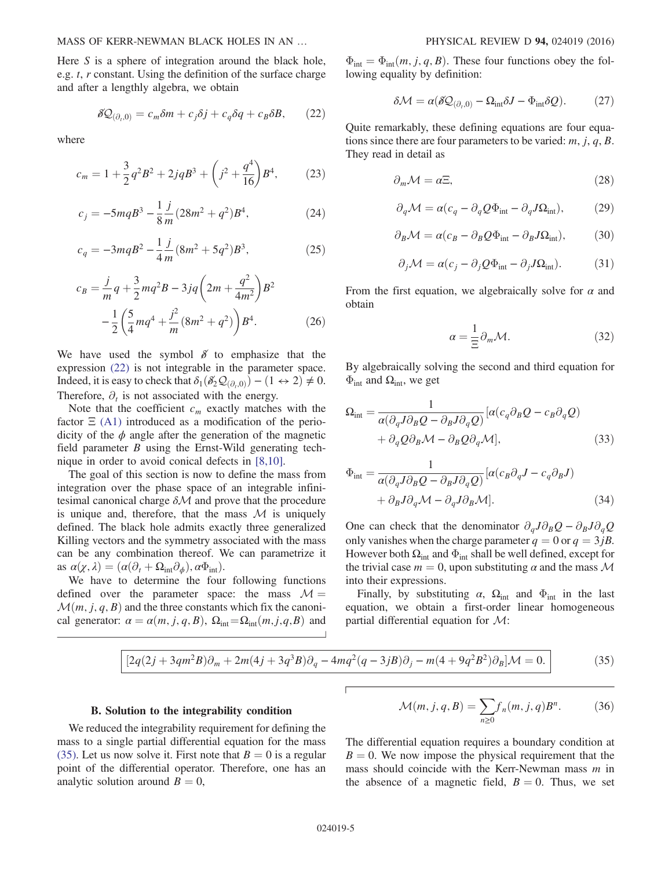<span id="page-4-0"></span>Here  $S$  is a sphere of integration around the black hole, e.g. t, r constant. Using the definition of the surface charge and after a lengthly algebra, we obtain

$$
\delta \mathcal{Q}_{(\partial_t,0)} = c_m \delta m + c_j \delta j + c_q \delta q + c_B \delta B, \qquad (22)
$$

where

$$
c_m = 1 + \frac{3}{2}q^2B^2 + 2jqB^3 + \left(j^2 + \frac{q^4}{16}\right)B^4, \tag{23}
$$

$$
c_j = -5mqB^3 - \frac{1}{8}\frac{j}{m}(28m^2 + q^2)B^4,\tag{24}
$$

$$
c_q = -3mqB^2 - \frac{1}{4}\frac{j}{m}(8m^2 + 5q^2)B^3,\tag{25}
$$

$$
c_B = \frac{j}{m}q + \frac{3}{2}mq^2B - 3jq\left(2m + \frac{q^2}{4m^2}\right)B^2
$$

$$
-\frac{1}{2}\left(\frac{5}{4}mq^4 + \frac{j^2}{m}(8m^2 + q^2)\right)B^4.
$$
(26)

We have used the symbol  $\delta$  to emphasize that the expression [\(22\)](#page-4-0) is not integrable in the parameter space. Indeed, it is easy to check that  $\delta_1(\delta_2^{\prime} Q_{(\partial_0,0)}) - (1 \leftrightarrow 2) \neq 0$ . Therefore,  $\partial_t$  is not associated with the energy.

Note that the coefficient  $c_m$  exactly matches with the factor  $\Xi$  [\(A1\)](#page-8-0) introduced as a modification of the periodicity of the  $\phi$  angle after the generation of the magnetic field parameter B using the Ernst-Wild generating technique in order to avoid conical defects in [\[8,10\].](#page-9-5)

The goal of this section is now to define the mass from integration over the phase space of an integrable infinitesimal canonical charge  $\delta \mathcal{M}$  and prove that the procedure is unique and, therefore, that the mass  $\mathcal M$  is uniquely defined. The black hole admits exactly three generalized Killing vectors and the symmetry associated with the mass can be any combination thereof. We can parametrize it as  $\alpha(\chi, \lambda) = (\alpha(\partial_t + \Omega_{int} \partial_{\phi}), \alpha \Phi_{int}).$ 

<span id="page-4-1"></span>We have to determine the four following functions defined over the parameter space: the mass  $\mathcal{M} =$  $\mathcal{M}(m, j, q, B)$  and the three constants which fix the canonical generator:  $\alpha = \alpha(m, j, q, B)$ ,  $\Omega_{int} = \Omega_{int}(m, j, q, B)$  and

 $\Phi_{\text{int}} = \Phi_{\text{int}}(m, j, q, B)$ . These four functions obey the following equality by definition:

$$
\delta \mathcal{M} = \alpha (\delta \mathcal{Q}_{(\partial_t,0)} - \Omega_{\text{int}} \delta J - \Phi_{\text{int}} \delta \mathcal{Q}). \tag{27}
$$

<span id="page-4-7"></span>Quite remarkably, these defining equations are four equations since there are four parameters to be varied:  $m$ ,  $j$ ,  $q$ ,  $B$ . They read in detail as

$$
\partial_m \mathcal{M} = \alpha \Xi, \tag{28}
$$

<span id="page-4-8"></span>
$$
\partial_q \mathcal{M} = \alpha (c_q - \partial_q Q \Phi_{\text{int}} - \partial_q J \Omega_{\text{int}}), \tag{29}
$$

<span id="page-4-6"></span>
$$
\partial_B \mathcal{M} = \alpha (c_B - \partial_B Q \Phi_{\text{int}} - \partial_B J \Omega_{\text{int}}), \tag{30}
$$

$$
\partial_j \mathcal{M} = \alpha (c_j - \partial_j Q \Phi_{\text{int}} - \partial_j J \Omega_{\text{int}}). \tag{31}
$$

<span id="page-4-9"></span><span id="page-4-3"></span>From the first equation, we algebraically solve for  $\alpha$  and obtain

$$
\alpha = \frac{1}{\Xi} \partial_m \mathcal{M}.
$$
 (32)

<span id="page-4-4"></span>By algebraically solving the second and third equation for  $Φ<sub>int</sub>$  and  $Ω<sub>int</sub>$ , we get

$$
\Omega_{int} = \frac{1}{\alpha(\partial_q J \partial_B Q - \partial_B J \partial_q Q)} [\alpha(c_q \partial_B Q - c_B \partial_q Q) + \partial_q Q \partial_B M - \partial_B Q \partial_q M],
$$
\n(33)

<span id="page-4-5"></span>
$$
\Phi_{int} = \frac{1}{\alpha(\partial_q J \partial_B Q - \partial_B J \partial_q Q)} [\alpha(c_B \partial_q J - c_q \partial_B J) + \partial_B J \partial_q \mathcal{M} - \partial_q J \partial_B \mathcal{M}].
$$
\n(34)

One can check that the denominator  $\partial_q J \partial_B Q - \partial_B J \partial_q Q$ only vanishes when the charge parameter  $q = 0$  or  $q = 3jB$ . However both  $\Omega_{int}$  and  $\Phi_{int}$  shall be well defined, except for the trivial case  $m = 0$ , upon substituting  $\alpha$  and the mass M into their expressions.

Finally, by substituting  $\alpha$ ,  $\Omega_{int}$  and  $\Phi_{int}$  in the last equation, we obtain a first-order linear homogeneous partial differential equation for M:

$$
[2q(2j + 3qm^2B)\partial_m + 2m(4j + 3q^3B)\partial_q - 4mq^2(q - 3jB)\partial_j - m(4 + 9q^2B^2)\partial_B] \mathcal{M} = 0.
$$
 (35)

### B. Solution to the integrability condition

<span id="page-4-2"></span>We reduced the integrability requirement for defining the mass to a single partial differential equation for the mass [\(35\)](#page-4-1). Let us now solve it. First note that  $B = 0$  is a regular point of the differential operator. Therefore, one has an analytic solution around  $B = 0$ ,

$$
\mathcal{M}(m, j, q, B) = \sum_{n \ge 0} f_n(m, j, q) B^n. \tag{36}
$$

The differential equation requires a boundary condition at  $B = 0$ . We now impose the physical requirement that the mass should coincide with the Kerr-Newman mass  $m$  in the absence of a magnetic field,  $B = 0$ . Thus, we set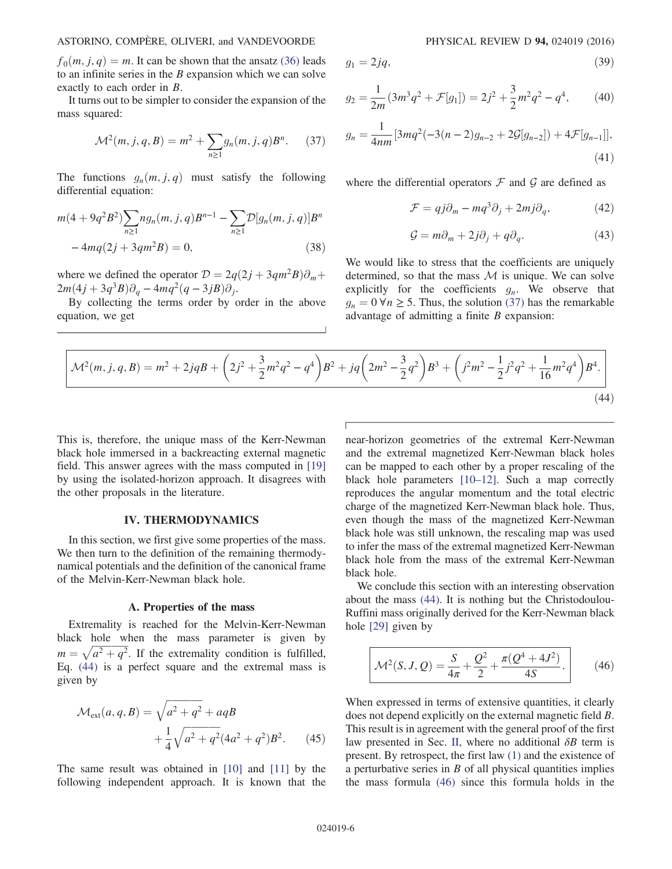$f_0(m, i, q) = m$ . It can be shown that the ansatz [\(36\)](#page-4-2) leads to an infinite series in the  $B$  expansion which we can solve exactly to each order in B.

<span id="page-5-1"></span>It turns out to be simpler to consider the expansion of the mass squared:

$$
\mathcal{M}^2(m, j, q, B) = m^2 + \sum_{n \ge 1} g_n(m, j, q) B^n. \tag{37}
$$

The functions  $g_n(m, j, q)$  must satisfy the following differential equation:

$$
m(4+9q^{2}B^{2})\sum_{n\geq 1}n g_{n}(m, j, q)B^{n-1} - \sum_{n\geq 1} \mathcal{D}[g_{n}(m, j, q)]B^{n}
$$

$$
-4mq(2j+3qm^{2}B) = 0,
$$
(38)

where we defined the operator  $\mathcal{D} = 2q(2j + 3qm^2B)\partial_m +$  $2m(4j + 3q^3B)\partial_q - 4mq^2(q - 3jB)\partial_j.$ 

<span id="page-5-2"></span>By collecting the terms order by order in the above equation, we get

$$
g_1 = 2jq,\t\t(39)
$$

$$
g_2 = \frac{1}{2m}(3m^3q^2 + \mathcal{F}[g_1]) = 2j^2 + \frac{3}{2}m^2q^2 - q^4,\qquad(40)
$$

$$
g_n = \frac{1}{4nm} [3mq^2(-3(n-2)g_{n-2} + 2\mathcal{G}[g_{n-2}]) + 4\mathcal{F}[g_{n-1}]],
$$
\n(41)

where the differential operators  $\mathcal F$  and  $\mathcal G$  are defined as

$$
\mathcal{F} = qj\partial_m - mq^3\partial_j + 2mj\partial_q, \qquad (42)
$$

$$
\mathcal{G} = m\partial_m + 2j\partial_j + q\partial_q. \tag{43}
$$

We would like to stress that the coefficients are uniquely determined, so that the mass  $M$  is unique. We can solve explicitly for the coefficients  $g_n$ . We observe that  $g_n = 0 \,\forall n \geq 5$ . Thus, the solution [\(37\)](#page-5-1) has the remarkable advantage of admitting a finite  $B$  expansion:

$$
\mathcal{M}^2(m,j,q,B) = m^2 + 2jqB + \left(2j^2 + \frac{3}{2}m^2q^2 - q^4\right)B^2 + jq\left(2m^2 - \frac{3}{2}q^2\right)B^3 + \left(j^2m^2 - \frac{1}{2}j^2q^2 + \frac{1}{16}m^2q^4\right)B^4.
$$
\n(44)

This is, therefore, the unique mass of the Kerr-Newman black hole immersed in a backreacting external magnetic field. This answer agrees with the mass computed in [\[19\]](#page-9-15) by using the isolated-horizon approach. It disagrees with the other proposals in the literature.

### IV. THERMODYNAMICS

<span id="page-5-0"></span>In this section, we first give some properties of the mass. We then turn to the definition of the remaining thermodynamical potentials and the definition of the canonical frame of the Melvin-Kerr-Newman black hole.

#### A. Properties of the mass

Extremality is reached for the Melvin-Kerr-Newman black hole when the mass parameter is given by  $m = \sqrt{a^2 + q^2}$ . If the extremality condition is fulfilled, Eq. [\(44\)](#page-5-2) is a perfect square and the extremal mass is given by

<span id="page-5-4"></span>
$$
\mathcal{M}_{ext}(a, q, B) = \sqrt{a^2 + q^2} + aqB + \frac{1}{4}\sqrt{a^2 + q^2}(4a^2 + q^2)B^2.
$$
 (45)

The same result was obtained in [\[10\]](#page-9-7) and [\[11\]](#page-9-17) by the following independent approach. It is known that the near-horizon geometries of the extremal Kerr-Newman and the extremal magnetized Kerr-Newman black holes can be mapped to each other by a proper rescaling of the black hole parameters [\[10](#page-9-7)–12]. Such a map correctly reproduces the angular momentum and the total electric charge of the magnetized Kerr-Newman black hole. Thus, even though the mass of the magnetized Kerr-Newman black hole was still unknown, the rescaling map was used to infer the mass of the extremal magnetized Kerr-Newman black hole from the mass of the extremal Kerr-Newman black hole.

<span id="page-5-3"></span>We conclude this section with an interesting observation about the mass [\(44\)](#page-5-2). It is nothing but the Christodoulou-Ruffini mass originally derived for the Kerr-Newman black hole [\[29\]](#page-10-0) given by

$$
\mathcal{M}^2(S, J, Q) = \frac{S}{4\pi} + \frac{Q^2}{2} + \frac{\pi(Q^4 + 4J^2)}{4S}.
$$
 (46)

When expressed in terms of extensive quantities, it clearly does not depend explicitly on the external magnetic field B. This result is in agreement with the general proof of the first law presented in Sec. [II](#page-2-0), where no additional  $\delta B$  term is present. By retrospect, the first law [\(1\)](#page-1-0) and the existence of a perturbative series in  $B$  of all physical quantities implies the mass formula [\(46\)](#page-5-3) since this formula holds in the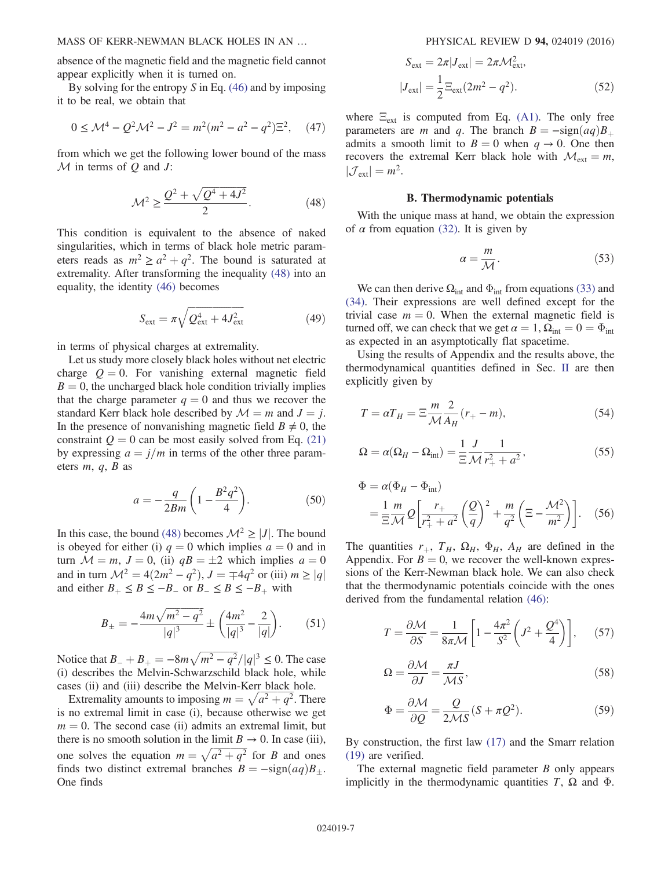MASS OF KERR-NEWMAN BLACK HOLES IN AN … PHYSICAL REVIEW D 94, 024019 (2016)

absence of the magnetic field and the magnetic field cannot appear explicitly when it is turned on.

By solving for the entropy  $S$  in Eq. [\(46\)](#page-5-3) and by imposing it to be real, we obtain that

$$
0 \le \mathcal{M}^4 - Q^2 \mathcal{M}^2 - J^2 = m^2 (m^2 - a^2 - q^2) \Xi^2, \quad (47)
$$

<span id="page-6-0"></span>from which we get the following lower bound of the mass  $M$  in terms of  $Q$  and  $J$ :

$$
\mathcal{M}^2 \ge \frac{Q^2 + \sqrt{Q^4 + 4J^2}}{2}.
$$
 (48)

This condition is equivalent to the absence of naked singularities, which in terms of black hole metric parameters reads as  $m^2 \ge a^2 + q^2$ . The bound is saturated at extremality. After transforming the inequality [\(48\)](#page-6-0) into an equality, the identity [\(46\)](#page-5-3) becomes

$$
S_{\text{ext}} = \pi \sqrt{Q_{\text{ext}}^4 + 4J_{\text{ext}}^2}
$$
 (49)

in terms of physical charges at extremality.

Let us study more closely black holes without net electric charge  $Q = 0$ . For vanishing external magnetic field  $B = 0$ , the uncharged black hole condition trivially implies that the charge parameter  $q = 0$  and thus we recover the standard Kerr black hole described by  $\mathcal{M} = m$  and  $J = j$ . In the presence of nonvanishing magnetic field  $B \neq 0$ , the constraint  $Q = 0$  can be most easily solved from Eq. [\(21\)](#page-3-2) by expressing  $a = j/m$  in terms of the other three parameters  $m, q, B$  as

$$
a = -\frac{q}{2Bm} \left( 1 - \frac{B^2 q^2}{4} \right). \tag{50}
$$

In this case, the bound [\(48\)](#page-6-0) becomes  $\mathcal{M}^2 \geq |J|$ . The bound is obeyed for either (i)  $q = 0$  which implies  $a = 0$  and in turn  $M = m$ ,  $J = 0$ , (ii)  $qB = \pm 2$  which implies  $a = 0$ and in turn  $\mathcal{M}^2 = 4(2m^2 - q^2), J = \mp 4q^2$  or (iii)  $m \ge |q|$ and either  $B_+ \leq B \leq -B_-$  or  $B_- \leq B \leq -B_+$  with

$$
B_{\pm} = -\frac{4m\sqrt{m^2 - q^2}}{|q|^3} \pm \left(\frac{4m^2}{|q|^3} - \frac{2}{|q|}\right). \tag{51}
$$

Notice that  $B_- + B_+ = -8m\sqrt{m^2 - q^2}/|q|^3 \le 0$ . The case (i) describes the Melvin-Schwarzschild black hole, while cases (ii) and (iii) describe the Melvin-Kerr black hole.

Extremality amounts to imposing  $m = \sqrt{a^2 + q^2}$ . There is no extremal limit in case (i), because otherwise we get  $m = 0$ . The second case (ii) admits an extremal limit, but there is no smooth solution in the limit  $B \to 0$ . In case (iii), one solves the equation  $m = \sqrt{a^2 + q^2}$  for B and ones finds two distinct extremal branches  $B = -\text{sign}(aq)B_+$ . One finds

$$
S_{\text{ext}} = 2\pi |J_{\text{ext}}| = 2\pi \mathcal{M}_{\text{ext}}^2,
$$
  

$$
|J_{\text{ext}}| = \frac{1}{2} \Xi_{\text{ext}} (2m^2 - q^2).
$$
 (52)

where  $\Xi_{ext}$  is computed from Eq. [\(A1\).](#page-8-0) The only free parameters are m and q. The branch  $B = -\text{sign}(aq)B_+$ admits a smooth limit to  $B = 0$  when  $q \to 0$ . One then recovers the extremal Kerr black hole with  $\mathcal{M}_{ext} = m$ ,  $|\mathcal{J}_{ext}| = m^2$ .

# B. Thermodynamic potentials

With the unique mass at hand, we obtain the expression of  $\alpha$  from equation [\(32\).](#page-4-3) It is given by

$$
\alpha = \frac{m}{\mathcal{M}}.\tag{53}
$$

We can then derive  $\Omega_{int}$  and  $\Phi_{int}$  from equations [\(33\)](#page-4-4) and [\(34\)](#page-4-5). Their expressions are well defined except for the trivial case  $m = 0$ . When the external magnetic field is turned off, we can check that we get  $\alpha = 1$ ,  $\Omega_{\text{int}} = 0 = \Phi_{\text{int}}$ as expected in an asymptotically flat spacetime.

Using the results of Appendix and the results above, the thermodynamical quantities defined in Sec. [II](#page-2-0) are then explicitly given by

$$
T = \alpha T_H = \Xi \frac{m}{\mathcal{M}} \frac{2}{A_H} (r_+ - m), \tag{54}
$$

$$
\Omega = \alpha (\Omega_H - \Omega_{\text{int}}) = \frac{1}{\Xi} \frac{J}{\mathcal{M}} \frac{1}{r_+^2 + a^2},\tag{55}
$$

$$
\Phi = \alpha (\Phi_H - \Phi_{int})
$$
  
=  $\frac{1}{\Xi} \frac{m}{\mathcal{M}} Q \left[ \frac{r_+}{r_+^2 + a^2} \left( \frac{Q}{q} \right)^2 + \frac{m}{q^2} \left( \Xi - \frac{\mathcal{M}^2}{m^2} \right) \right].$  (56)

The quantities  $r_+$ ,  $T_H$ ,  $\Omega_H$ ,  $\Phi_H$ ,  $A_H$  are defined in the Appendix. For  $B = 0$ , we recover the well-known expressions of the Kerr-Newman black hole. We can also check that the thermodynamic potentials coincide with the ones derived from the fundamental relation [\(46\):](#page-5-3)

$$
T = \frac{\partial \mathcal{M}}{\partial S} = \frac{1}{8\pi \mathcal{M}} \left[ 1 - \frac{4\pi^2}{S^2} \left( J^2 + \frac{Q^4}{4} \right) \right], \quad (57)
$$

$$
\Omega = \frac{\partial \mathcal{M}}{\partial J} = \frac{\pi J}{\mathcal{M} S},\tag{58}
$$

$$
\Phi = \frac{\partial \mathcal{M}}{\partial Q} = \frac{Q}{2\mathcal{M}S} (S + \pi Q^2). \tag{59}
$$

By construction, the first law [\(17\)](#page-3-3) and the Smarr relation [\(19\)](#page-3-4) are verified.

The external magnetic field parameter  $B$  only appears implicitly in the thermodynamic quantities T,  $\Omega$  and  $\Phi$ .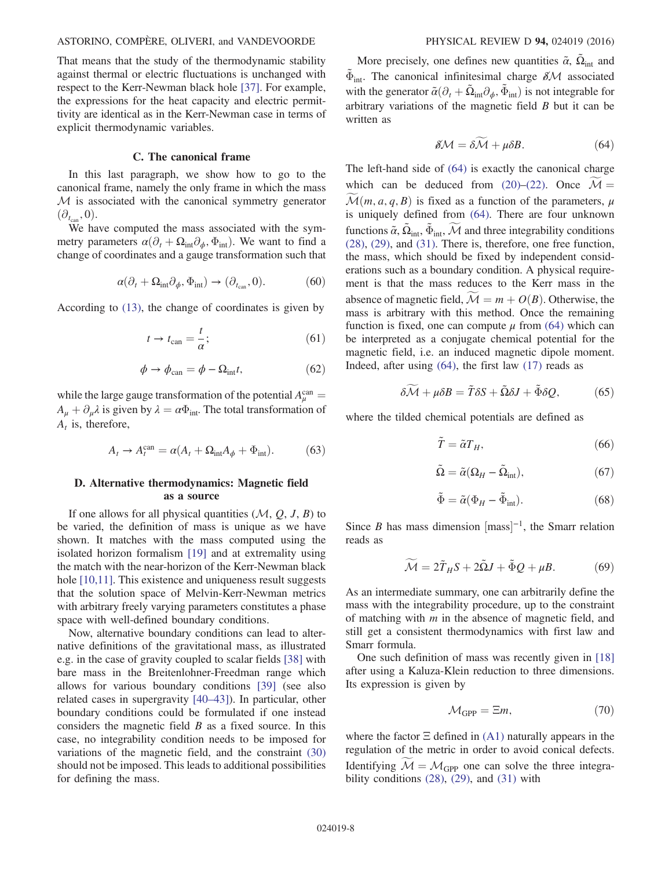### ASTORINO, COMPÈRE, OLIVERI, and VANDEVOORDE PHYSICAL REVIEW D 94, 024019 (2016)

That means that the study of the thermodynamic stability against thermal or electric fluctuations is unchanged with respect to the Kerr-Newman black hole [\[37\].](#page-10-7) For example, the expressions for the heat capacity and electric permittivity are identical as in the Kerr-Newman case in terms of explicit thermodynamic variables.

## C. The canonical frame

In this last paragraph, we show how to go to the canonical frame, namely the only frame in which the mass  $M$  is associated with the canonical symmetry generator  $(\partial_{t_{\rm can}}, 0).$ 

We have computed the mass associated with the symmetry parameters  $\alpha(\partial_t + \Omega_{\text{int}}\partial_{\phi}, \Phi_{\text{int}})$ . We want to find a change of coordinates and a gauge transformation such that

$$
\alpha(\partial_t + \Omega_{\text{int}} \partial_\phi, \Phi_{\text{int}}) \to (\partial_{t_{\text{can}}}, 0). \tag{60}
$$

According to [\(13\),](#page-3-5) the change of coordinates is given by

$$
t \to t_{\text{can}} = \frac{t}{\alpha};\tag{61}
$$

$$
\phi \to \phi_{\rm can} = \phi - \Omega_{\rm int} t,\tag{62}
$$

while the large gauge transformation of the potential  $A_{\mu}^{\text{can}} =$  $A_{\mu} + \partial_{\mu} \lambda$  is given by  $\lambda = \alpha \Phi_{int}$ . The total transformation of  $A_t$  is, therefore,

$$
A_t \to A_t^{\text{can}} = \alpha (A_t + \Omega_{\text{int}} A_\phi + \Phi_{\text{int}}). \tag{63}
$$

## D. Alternative thermodynamics: Magnetic field as a source

If one allows for all physical quantities  $(M, Q, J, B)$  to be varied, the definition of mass is unique as we have shown. It matches with the mass computed using the isolated horizon formalism [\[19\]](#page-9-15) and at extremality using the match with the near-horizon of the Kerr-Newman black hole [\[10,11\].](#page-9-7) This existence and uniqueness result suggests that the solution space of Melvin-Kerr-Newman metrics with arbitrary freely varying parameters constitutes a phase space with well-defined boundary conditions.

Now, alternative boundary conditions can lead to alternative definitions of the gravitational mass, as illustrated e.g. in the case of gravity coupled to scalar fields [\[38\]](#page-10-8) with bare mass in the Breitenlohner-Freedman range which allows for various boundary conditions [\[39\]](#page-10-9) (see also related cases in supergravity [40–[43\]\)](#page-10-10). In particular, other boundary conditions could be formulated if one instead considers the magnetic field  $B$  as a fixed source. In this case, no integrability condition needs to be imposed for variations of the magnetic field, and the constraint [\(30\)](#page-4-6) should not be imposed. This leads to additional possibilities for defining the mass.

<span id="page-7-0"></span>More precisely, one defines new quantities  $\tilde{\alpha}$ ,  $\tilde{\Omega}_{int}$  and  $\Phi_{int}$ . The canonical infinitesimal charge  $\delta \mathcal{M}$  associated with the generator  $\tilde{\alpha}(\partial_t + \tilde{\Omega}_{int}\partial_{\phi}, \tilde{\Phi}_{int})$  is not integrable for arbitrary variations of the magnetic field  $B$  but it can be written as

$$
\delta \mathcal{M} = \delta \widetilde{\mathcal{M}} + \mu \delta B. \tag{64}
$$

The left-hand side of [\(64\)](#page-7-0) is exactly the canonical charge which can be deduced from [\(20\)](#page-3-6)–[\(22\).](#page-4-0) Once  $\mathcal{M} =$  $\mathcal{M}(m, a, q, B)$  is fixed as a function of the parameters,  $\mu$ is uniquely defined from [\(64\).](#page-7-0) There are four unknown functions  $\tilde{\alpha}$ ,  $\tilde{\Omega}_{int}$ ,  $\tilde{\Phi}_{int}$ , M and three integrability conditions [\(28\)](#page-4-7), [\(29\)](#page-4-8), and [\(31\).](#page-4-9) There is, therefore, one free function, the mass, which should be fixed by independent considerations such as a boundary condition. A physical requirement is that the mass reduces to the Kerr mass in the absence of magnetic field,  $\mathcal{M} = m + O(B)$ . Otherwise, the mass is arbitrary with this method. Once the remaining function is fixed, one can compute  $\mu$  from [\(64\)](#page-7-0) which can be interpreted as a conjugate chemical potential for the magnetic field, i.e. an induced magnetic dipole moment. Indeed, after using [\(64\),](#page-7-0) the first law [\(17\)](#page-3-3) reads as

$$
\delta \widetilde{\mathcal{M}} + \mu \delta B = \widetilde{T} \delta S + \widetilde{\Omega} \delta J + \widetilde{\Phi} \delta Q, \tag{65}
$$

where the tilded chemical potentials are defined as

$$
\tilde{T} = \tilde{\alpha} T_H,\tag{66}
$$

$$
\tilde{\Omega} = \tilde{\alpha} (\Omega_H - \tilde{\Omega}_{int}), \tag{67}
$$

$$
\tilde{\Phi} = \tilde{\alpha} (\Phi_H - \tilde{\Phi}_{int}). \tag{68}
$$

Since *B* has mass dimension  ${\text{[mass]}}^{-1}$ , the Smarr relation reads as

$$
\widetilde{\mathcal{M}} = 2\widetilde{T}_H S + 2\widetilde{\Omega} J + \widetilde{\Phi} Q + \mu B. \tag{69}
$$

As an intermediate summary, one can arbitrarily define the mass with the integrability procedure, up to the constraint of matching with m in the absence of magnetic field, and still get a consistent thermodynamics with first law and Smarr formula.

One such definition of mass was recently given in [\[18\]](#page-9-19) after using a Kaluza-Klein reduction to three dimensions. Its expression is given by

$$
\mathcal{M}_{\text{GPP}} = \Xi m,\tag{70}
$$

where the factor  $\Xi$  defined in [\(A1\)](#page-8-0) naturally appears in the regulation of the metric in order to avoid conical defects. Identifying  $M = M_{GPP}$  one can solve the three integrability conditions  $(28)$ ,  $(29)$ , and  $(31)$  with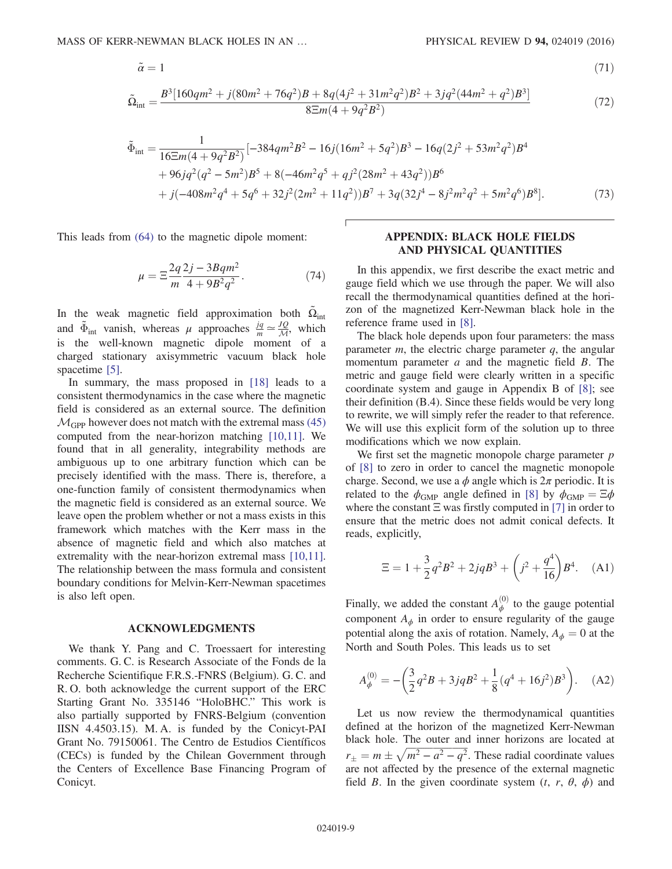$$
\tilde{\alpha} = 1 \tag{71}
$$

$$
\tilde{\Omega}_{int} = \frac{B^3[160qm^2 + j(80m^2 + 76q^2)B + 8q(4j^2 + 31m^2q^2)B^2 + 3jq^2(44m^2 + q^2)B^3]}{8\Xi m(4 + 9q^2B^2)}\tag{72}
$$

$$
\tilde{\Phi}_{int} = \frac{1}{16\Xi m(4 + 9q^2B^2)} \left[ -384qm^2B^2 - 16j(16m^2 + 5q^2)B^3 - 16q(2j^2 + 53m^2q^2)B^4 \right. \\
\left. + 96jq^2(q^2 - 5m^2)B^5 + 8(-46m^2q^5 + qj^2(28m^2 + 43q^2))B^6 \right. \\
\left. + j(-408m^2q^4 + 5q^6 + 32j^2(2m^2 + 11q^2))B^7 + 3q(32j^4 - 8j^2m^2q^2 + 5m^2q^6)B^8 \right].\n\tag{73}
$$

This leads from [\(64\)](#page-7-0) to the magnetic dipole moment:

$$
\mu = \Xi \frac{2q}{m} \frac{2j - 3Bqm^2}{4 + 9B^2q^2}.
$$
 (74)

In the weak magnetic field approximation both  $\tilde{\Omega}_{int}$ and  $\tilde{\Phi}_{int}$  vanish, whereas  $\mu$  approaches  $\frac{jq}{m} \approx \frac{JQ}{\mathcal{M}}$ , which is the well-known magnetic dipole moment of a charged stationary axisymmetric vacuum black hole spacetime [\[5\]](#page-9-3).

In summary, the mass proposed in [\[18\]](#page-9-19) leads to a consistent thermodynamics in the case where the magnetic field is considered as an external source. The definition  $\mathcal{M}_{GPP}$  however does not match with the extremal mass [\(45\)](#page-5-4) computed from the near-horizon matching [\[10,11\]](#page-9-7). We found that in all generality, integrability methods are ambiguous up to one arbitrary function which can be precisely identified with the mass. There is, therefore, a one-function family of consistent thermodynamics when the magnetic field is considered as an external source. We leave open the problem whether or not a mass exists in this framework which matches with the Kerr mass in the absence of magnetic field and which also matches at extremality with the near-horizon extremal mass [\[10,11\]](#page-9-7). The relationship between the mass formula and consistent boundary conditions for Melvin-Kerr-Newman spacetimes is also left open.

#### ACKNOWLEDGMENTS

We thank Y. Pang and C. Troessaert for interesting comments. G. C. is Research Associate of the Fonds de la Recherche Scientifique F.R.S.-FNRS (Belgium). G. C. and R. O. both acknowledge the current support of the ERC Starting Grant No. 335146 "HoloBHC." This work is also partially supported by FNRS-Belgium (convention IISN 4.4503.15). M. A. is funded by the Conicyt-PAI Grant No. 79150061. The Centro de Estudios Científicos (CECs) is funded by the Chilean Government through the Centers of Excellence Base Financing Program of Conicyt.

### APPENDIX: BLACK HOLE FIELDS AND PHYSICAL QUANTITIES

In this appendix, we first describe the exact metric and gauge field which we use through the paper. We will also recall the thermodynamical quantities defined at the horizon of the magnetized Kerr-Newman black hole in the reference frame used in [\[8\]](#page-9-5).

The black hole depends upon four parameters: the mass parameter  $m$ , the electric charge parameter  $q$ , the angular momentum parameter  $a$  and the magnetic field  $B$ . The metric and gauge field were clearly written in a specific coordinate system and gauge in Appendix B of [\[8\];](#page-9-5) see their definition (B.4). Since these fields would be very long to rewrite, we will simply refer the reader to that reference. We will use this explicit form of the solution up to three modifications which we now explain.

We first set the magnetic monopole charge parameter  $p$ of [\[8\]](#page-9-5) to zero in order to cancel the magnetic monopole charge. Second, we use a  $\phi$  angle which is  $2\pi$  periodic. It is related to the  $\phi_{\text{GMP}}$  angle defined in [\[8\]](#page-9-5) by  $\phi_{\text{GMP}} = \Xi \phi$ where the constant  $\Xi$  was firstly computed in [\[7\]](#page-9-12) in order to ensure that the metric does not admit conical defects. It reads, explicitly,

<span id="page-8-0"></span>
$$
\Xi = 1 + \frac{3}{2}q^2B^2 + 2jqB^3 + \left(j^2 + \frac{q^4}{16}\right)B^4.
$$
 (A1)

Finally, we added the constant  $A_{\phi}^{(0)}$  to the gauge potential component  $A_{\phi}$  in order to ensure regularity of the gauge potential along the axis of rotation. Namely,  $A_{\phi} = 0$  at the North and South Poles. This leads us to set

$$
A_{\phi}^{(0)} = -\left(\frac{3}{2}q^2B + 3jqB^2 + \frac{1}{8}(q^4 + 16j^2)B^3\right). \quad (A2)
$$

Let us now review the thermodynamical quantities defined at the horizon of the magnetized Kerr-Newman black hole. The outer and inner horizons are located at  $r_{\pm} = m \pm \sqrt{m^2 - a^2 - q^2}$ . These radial coordinate values are not affected by the presence of the external magnetic field B. In the given coordinate system  $(t, r, \theta, \phi)$  and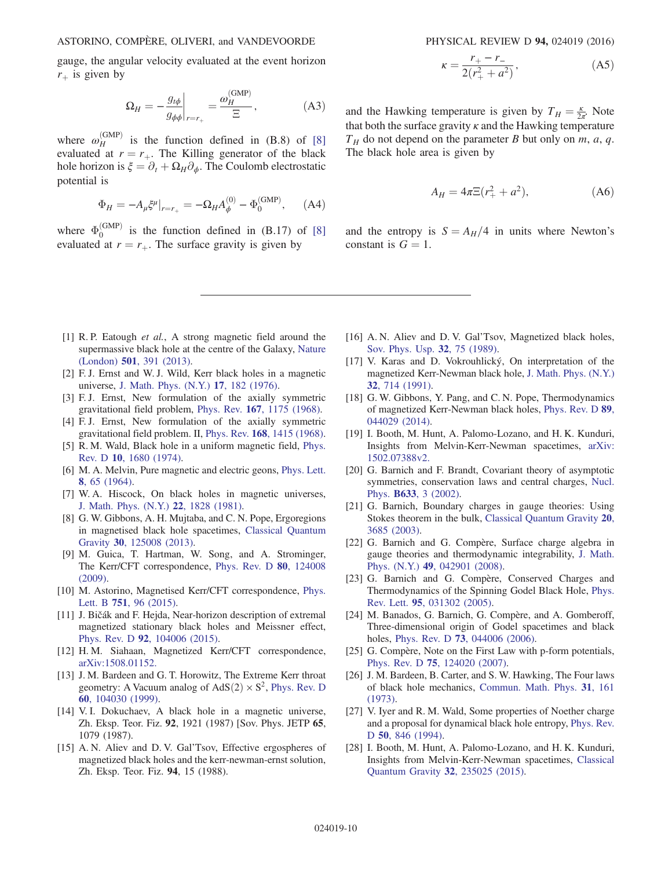gauge, the angular velocity evaluated at the event horizon  $r_{\perp}$  is given by

$$
\Omega_H = -\frac{g_{t\phi}}{g_{\phi\phi}}\bigg|_{r=r_+} = \frac{\omega_H^{\text{(GMP)}}}{\Xi},\tag{A3}
$$

where  $\omega_H^{\text{(GMP)}}$  is the function defined in (B.8) of [\[8\]](#page-9-5) evaluated at  $r = r_{+}$ . The Killing generator of the black hole horizon is  $\xi = \partial_t + \Omega_H \partial_\phi$ . The Coulomb electrostatic potential is

$$
\Phi_H = -A_\mu \xi^\mu|_{r=r_+} = -\Omega_H A_\phi^{(0)} - \Phi_0^{\text{(GMP)}}, \quad \text{(A4)}
$$

where  $\Phi_0^{\text{(GMP)}}$  is the function defined in (B.17) of [\[8\]](#page-9-5) evaluated at  $r = r_{+}$ . The surface gravity is given by

$$
\kappa = \frac{r_+ - r_-}{2(r_+^2 + a^2)},\tag{A5}
$$

and the Hawking temperature is given by  $T_H = \frac{\kappa}{2\pi}$ . Note that both the surface gravity  $\kappa$  and the Hawking temperature  $T_H$  do not depend on the parameter B but only on m, a, q. The black hole area is given by

$$
A_H = 4\pi \Xi (r_+^2 + a^2), \tag{A6}
$$

and the entropy is  $S = A_H/4$  in units where Newton's constant is  $G = 1$ .

- <span id="page-9-0"></span>[1] R. P. Eatough et al., A strong magnetic field around the supermassive black hole at the centre of the Galaxy, [Nature](http://dx.doi.org/10.1038/nature12499) (London) 501[, 391 \(2013\)](http://dx.doi.org/10.1038/nature12499).
- <span id="page-9-1"></span>[2] F. J. Ernst and W. J. Wild, Kerr black holes in a magnetic universe, [J. Math. Phys. \(N.Y.\)](http://dx.doi.org/10.1063/1.522875) 17, 182 (1976).
- <span id="page-9-2"></span>[3] F.J. Ernst, New formulation of the axially symmetric gravitational field problem, Phys. Rev. 167[, 1175 \(1968\).](http://dx.doi.org/10.1103/PhysRev.167.1175)
- [4] F. J. Ernst, New formulation of the axially symmetric gravitational field problem. II, Phys. Rev. 168[, 1415 \(1968\).](http://dx.doi.org/10.1103/PhysRev.168.1415)
- <span id="page-9-3"></span>[5] R. M. Wald, Black hole in a uniform magnetic field, [Phys.](http://dx.doi.org/10.1103/PhysRevD.10.1680) Rev. D 10[, 1680 \(1974\).](http://dx.doi.org/10.1103/PhysRevD.10.1680)
- <span id="page-9-4"></span>[6] M. A. Melvin, Pure magnetic and electric geons, [Phys. Lett.](http://dx.doi.org/10.1016/0031-9163(64)90801-7) 8[, 65 \(1964\)](http://dx.doi.org/10.1016/0031-9163(64)90801-7).
- <span id="page-9-12"></span>[7] W. A. Hiscock, On black holes in magnetic universes, [J. Math. Phys. \(N.Y.\)](http://dx.doi.org/10.1063/1.525130) 22, 1828 (1981).
- <span id="page-9-5"></span>[8] G. W. Gibbons, A. H. Mujtaba, and C. N. Pope, Ergoregions in magnetised black hole spacetimes, [Classical Quantum](http://dx.doi.org/10.1088/0264-9381/30/12/125008) Gravity 30[, 125008 \(2013\).](http://dx.doi.org/10.1088/0264-9381/30/12/125008)
- <span id="page-9-6"></span>[9] M. Guica, T. Hartman, W. Song, and A. Strominger, The Kerr/CFT correspondence, [Phys. Rev. D](http://dx.doi.org/10.1103/PhysRevD.80.124008) 80, 124008 [\(2009\).](http://dx.doi.org/10.1103/PhysRevD.80.124008)
- <span id="page-9-7"></span>[10] M. Astorino, Magnetised Kerr/CFT correspondence, [Phys.](http://dx.doi.org/10.1016/j.physletb.2015.10.017) Lett. B 751[, 96 \(2015\)](http://dx.doi.org/10.1016/j.physletb.2015.10.017).
- <span id="page-9-17"></span>[11] J. Bičák and F. Hejda, Near-horizon description of extremal magnetized stationary black holes and Meissner effect, Phys. Rev. D 92[, 104006 \(2015\)](http://dx.doi.org/10.1103/PhysRevD.92.104006).
- <span id="page-9-8"></span>[12] H. M. Siahaan, Magnetized Kerr/CFT correspondence, [arXiv:1508.01152.](http://arXiv.org/abs/1508.01152)
- <span id="page-9-9"></span>[13] J. M. Bardeen and G. T. Horowitz, The Extreme Kerr throat geometry: A Vacuum analog of  $AdS(2) \times S^2$ , [Phys. Rev. D](http://dx.doi.org/10.1103/PhysRevD.60.104030) 60[, 104030 \(1999\).](http://dx.doi.org/10.1103/PhysRevD.60.104030)
- [14] V. I. Dokuchaev, A black hole in a magnetic universe, Zh. Eksp. Teor. Fiz. 92, 1921 (1987) [Sov. Phys. JETP 65, 1079 (1987).
- [15] A. N. Aliev and D. V. Gal'Tsov, Effective ergospheres of magnetized black holes and the kerr-newman-ernst solution, Zh. Eksp. Teor. Fiz. 94, 15 (1988).
- [16] A. N. Aliev and D. V. Gal'Tsov, Magnetized black holes, [Sov. Phys. Usp.](http://dx.doi.org/10.1070/PU1989v032n01ABEH002677) 32, 75 (1989).
- [17] V. Karas and D. Vokrouhlický, On interpretation of the magnetized Kerr-Newman black hole, [J. Math. Phys. \(N.Y.\)](http://dx.doi.org/10.1063/1.529360) 32[, 714 \(1991\).](http://dx.doi.org/10.1063/1.529360)
- <span id="page-9-19"></span>[18] G. W. Gibbons, Y. Pang, and C. N. Pope, Thermodynamics of magnetized Kerr-Newman black holes, [Phys. Rev. D](http://dx.doi.org/10.1103/PhysRevD.89.044029) 89, [044029 \(2014\).](http://dx.doi.org/10.1103/PhysRevD.89.044029)
- <span id="page-9-15"></span>[19] I. Booth, M. Hunt, A. Palomo-Lozano, and H. K. Kunduri, Insights from Melvin-Kerr-Newman spacetimes, [arXiv:](http://arXiv.org/abs/1502.07388v2) [1502.07388v2.](http://arXiv.org/abs/1502.07388v2)
- <span id="page-9-10"></span>[20] G. Barnich and F. Brandt, Covariant theory of asymptotic symmetries, conservation laws and central charges, [Nucl.](http://dx.doi.org/10.1016/S0550-3213(02)00251-1) Phys. B633[, 3 \(2002\)](http://dx.doi.org/10.1016/S0550-3213(02)00251-1).
- [21] G. Barnich, Boundary charges in gauge theories: Using Stokes theorem in the bulk, [Classical Quantum Gravity](http://dx.doi.org/10.1088/0264-9381/20/16/310) 20, [3685 \(2003\)](http://dx.doi.org/10.1088/0264-9381/20/16/310).
- [22] G. Barnich and G. Compère, Surface charge algebra in gauge theories and thermodynamic integrability, [J. Math.](http://dx.doi.org/10.1063/1.2889721) Phys. (N.Y.) 49[, 042901 \(2008\).](http://dx.doi.org/10.1063/1.2889721)
- <span id="page-9-11"></span>[23] G. Barnich and G. Compère, Conserved Charges and Thermodynamics of the Spinning Godel Black Hole, [Phys.](http://dx.doi.org/10.1103/PhysRevLett.95.031302) Rev. Lett. 95[, 031302 \(2005\).](http://dx.doi.org/10.1103/PhysRevLett.95.031302)
- [24] M. Banados, G. Barnich, G. Compère, and A. Gomberoff, Three-dimensional origin of Godel spacetimes and black holes, Phys. Rev. D **73**[, 044006 \(2006\)](http://dx.doi.org/10.1103/PhysRevD.73.044006).
- <span id="page-9-18"></span>[25] G. Compère, Note on the First Law with p-form potentials, Phys. Rev. D 75[, 124020 \(2007\)](http://dx.doi.org/10.1103/PhysRevD.75.124020).
- <span id="page-9-13"></span>[26] J. M. Bardeen, B. Carter, and S. W. Hawking, The Four laws of black hole mechanics, [Commun. Math. Phys.](http://dx.doi.org/10.1007/BF01645742) 31, 161 [\(1973\).](http://dx.doi.org/10.1007/BF01645742)
- <span id="page-9-14"></span>[27] V. Iyer and R. M. Wald, Some properties of Noether charge and a proposal for dynamical black hole entropy, [Phys. Rev.](http://dx.doi.org/10.1103/PhysRevD.50.846) D 50[, 846 \(1994\).](http://dx.doi.org/10.1103/PhysRevD.50.846)
- <span id="page-9-16"></span>[28] I. Booth, M. Hunt, A. Palomo-Lozano, and H. K. Kunduri, Insights from Melvin-Kerr-Newman spacetimes, [Classical](http://dx.doi.org/10.1088/0264-9381/32/23/235025) [Quantum Gravity](http://dx.doi.org/10.1088/0264-9381/32/23/235025) 32, 235025 (2015).